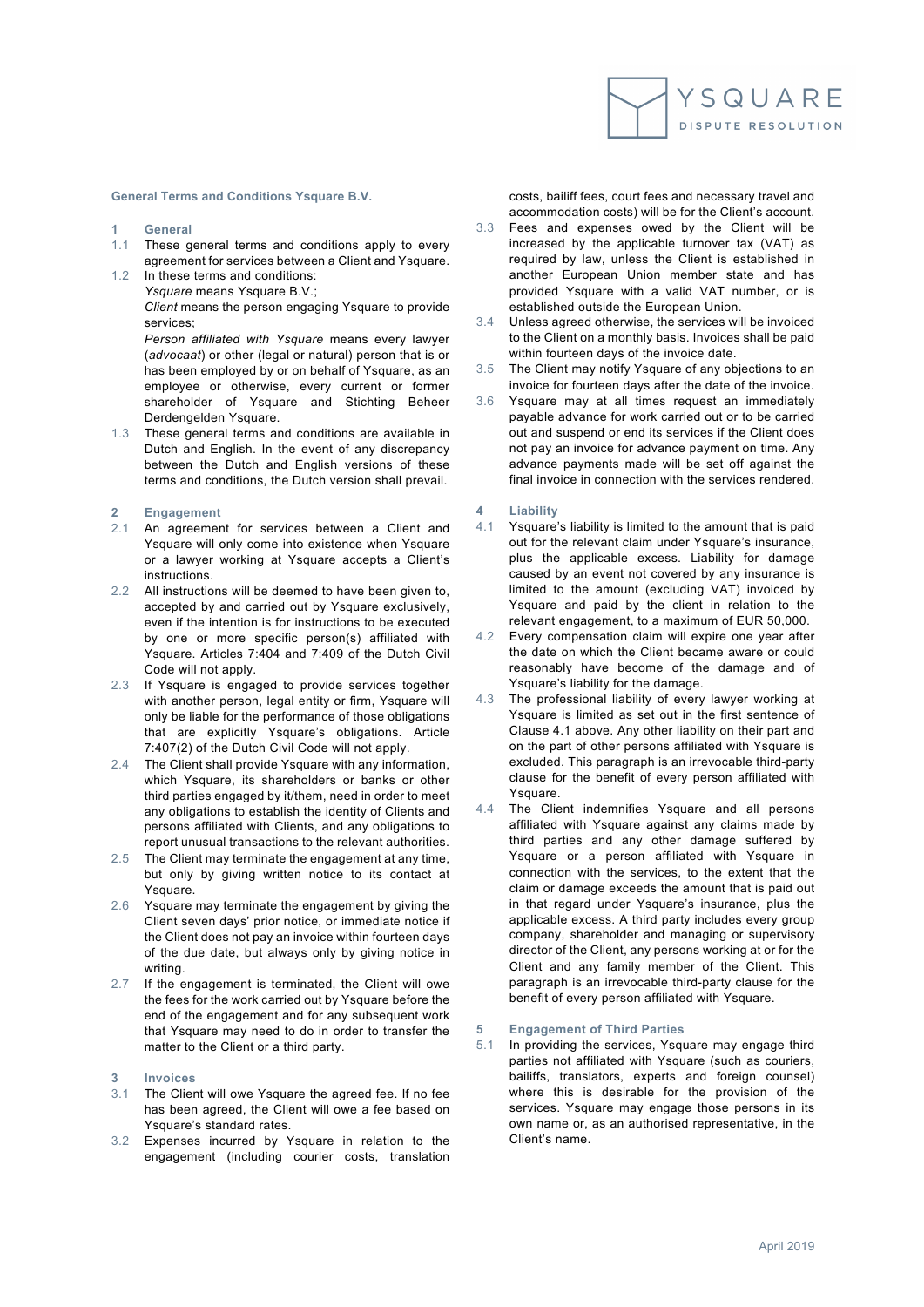**General Terms and Conditions Ysquare B.V.** 

- **1 General**
- 1.1 These general terms and conditions apply to every agreement for services between a Client and Ysquare.
- 1.2 In these terms and conditions: *Ysquare* means Ysquare B.V.;

*Client* means the person engaging Ysquare to provide services;

*Person affiliated with Ysquare* means every lawyer (*advocaat*) or other (legal or natural) person that is or has been employed by or on behalf of Ysquare, as an employee or otherwise, every current or former shareholder of Ysquare and Stichting Beheer Derdengelden Ysquare.

1.3 These general terms and conditions are available in Dutch and English. In the event of any discrepancy between the Dutch and English versions of these terms and conditions, the Dutch version shall prevail.

### **2 Engagement**

- 2.1 An agreement for services between a Client and Ysquare will only come into existence when Ysquare or a lawyer working at Ysquare accepts a Client's instructions.
- 2.2 All instructions will be deemed to have been given to, accepted by and carried out by Ysquare exclusively, even if the intention is for instructions to be executed by one or more specific person(s) affiliated with Ysquare. Articles 7:404 and 7:409 of the Dutch Civil Code will not apply.
- 2.3 If Ysquare is engaged to provide services together with another person, legal entity or firm, Ysquare will only be liable for the performance of those obligations that are explicitly Ysquare's obligations. Article 7:407(2) of the Dutch Civil Code will not apply.
- 2.4 The Client shall provide Ysquare with any information. which Ysquare, its shareholders or banks or other third parties engaged by it/them, need in order to meet any obligations to establish the identity of Clients and persons affiliated with Clients, and any obligations to report unusual transactions to the relevant authorities.
- 2.5 The Client may terminate the engagement at any time, but only by giving written notice to its contact at Ysquare.
- 2.6 Ysquare may terminate the engagement by giving the Client seven days' prior notice, or immediate notice if the Client does not pay an invoice within fourteen days of the due date, but always only by giving notice in writing.
- 2.7 If the engagement is terminated, the Client will owe the fees for the work carried out by Ysquare before the end of the engagement and for any subsequent work that Ysquare may need to do in order to transfer the matter to the Client or a third party.
- **3 Invoices**
- 3.1 The Client will owe Ysquare the agreed fee. If no fee has been agreed, the Client will owe a fee based on Ysquare's standard rates.
- 3.2 Expenses incurred by Ysquare in relation to the engagement (including courier costs, translation

costs, bailiff fees, court fees and necessary travel and accommodation costs) will be for the Client's account.

- 3.3 Fees and expenses owed by the Client will be increased by the applicable turnover tax (VAT) as required by law, unless the Client is established in another European Union member state and has provided Ysquare with a valid VAT number, or is established outside the European Union.
- 3.4 Unless agreed otherwise, the services will be invoiced to the Client on a monthly basis. Invoices shall be paid within fourteen days of the invoice date.
- 3.5 The Client may notify Ysquare of any objections to an invoice for fourteen days after the date of the invoice.
- 3.6 Ysquare may at all times request an immediately payable advance for work carried out or to be carried out and suspend or end its services if the Client does not pay an invoice for advance payment on time. Any advance payments made will be set off against the final invoice in connection with the services rendered.

### **4 Liability**

- 4.1 Ysquare's liability is limited to the amount that is paid out for the relevant claim under Ysquare's insurance, plus the applicable excess. Liability for damage caused by an event not covered by any insurance is limited to the amount (excluding VAT) invoiced by Ysquare and paid by the client in relation to the relevant engagement, to a maximum of EUR 50,000.
- 4.2 Every compensation claim will expire one year after the date on which the Client became aware or could reasonably have become of the damage and of Ysquare's liability for the damage.
- 4.3 The professional liability of every lawyer working at Ysquare is limited as set out in the first sentence of Clause 4.1 above. Any other liability on their part and on the part of other persons affiliated with Ysquare is excluded. This paragraph is an irrevocable third-party clause for the benefit of every person affiliated with Ysquare.
- 4.4 The Client indemnifies Ysquare and all persons affiliated with Ysquare against any claims made by third parties and any other damage suffered by Ysquare or a person affiliated with Ysquare in connection with the services, to the extent that the claim or damage exceeds the amount that is paid out in that regard under Ysquare's insurance, plus the applicable excess. A third party includes every group company, shareholder and managing or supervisory director of the Client, any persons working at or for the Client and any family member of the Client. This paragraph is an irrevocable third-party clause for the benefit of every person affiliated with Ysquare.

## **5 Engagement of Third Parties**

5.1 In providing the services, Ysquare may engage third parties not affiliated with Ysquare (such as couriers, bailiffs, translators, experts and foreign counsel) where this is desirable for the provision of the services. Ysquare may engage those persons in its own name or, as an authorised representative, in the Client's name.